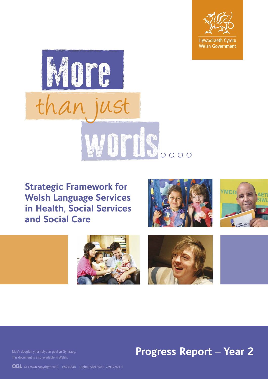



**Strategic Framework for Welsh Language Services in Health, Social Services and Social Care** 











# **Progress Report – Year 2**

**OGL** © Crown copyright 2019 WG36648 Digital ISBN 978 1 78964 921 5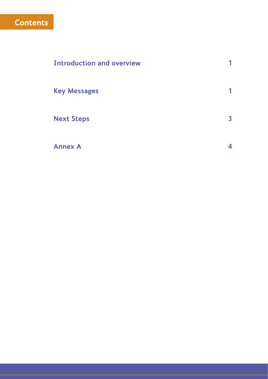## **Contents**

| <b>Introduction and overview</b> |                         |
|----------------------------------|-------------------------|
| <b>Key Messages</b>              |                         |
| <b>Next Steps</b>                | $\overline{\mathbf{3}}$ |
| <b>Annex A</b>                   | 4                       |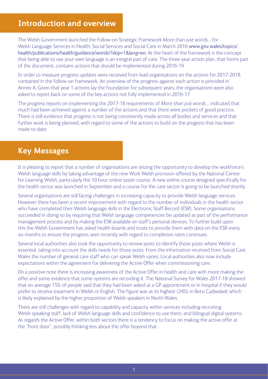### **Introduction and overview**

The Welsh Government launched the Follow-on Strategic Framework *More than just words*… for Welsh Language Services in Health, Social Services and Social Care in March 2016 www[.gov.wales/topics/](https://gov.wales/topics/health/publications/health/guidance/words/?skip=1&lang=en) [health/publications/health/guidance/words/?skip=1&lang=en](https://gov.wales/topics/health/publications/health/guidance/words/?skip=1&lang=en). At the heart of the framework is the concept that being able to use your own language is an integral part of care. The three-year action plan, that forms part of the document, contains actions that should be implemented during 2016-19.

In order to measure progress updates were received from lead organisations on the actions for 2017-2018 contained in the follow-on framework. An overview of the progress against each action is provided in Annex A. Given that year 1 actions lay the foundation for subsequent years, the organisations were also asked to report back on some of the key actions not fully implemented in 2016-17.

The progress reports on implementing the 2017-18 requirements of *More than just words*… indicated that much had been achieved against a number of the actions and that there were pockets of good practice. There is still evidence that progress is not being consistently made across all bodies and services and that further work is being planned, with regard to some of the actions to build on the progress that has been made to date.

#### **Key Messages**

It is pleasing to report that a number of organisations are seizing the opportunity to develop the workforce's Welsh language skills by taking advantage of the new Work Welsh provision offered by the National Centre for Learning Welsh, particularly the 10 hour online taster course. A new online course designed specifically for the health sector was launched in September and a course for the care sector is going to be launched shortly.

Several organisations are still facing challenges in increasing capacity to provide Welsh language services. However there has been a recent improvement with regard to the number of individuals in the health sector who have completed their Welsh language skills in the Electronic Staff Record (ESR). Some organisations succeeded in doing so by requiring that Welsh language competencies be updated as part of the performance management process and by making the ESR available on staff's personal devices. To further build upon this the Welsh Government has asked health boards and trusts to provide them with data on the ESR every six months to ensure the progress seen recently with regard to completion rates continues.

Several local authorities also took the opportunity to review posts to identify those posts where Welsh is essential, taking into account the skills needs for those posts. From the information received from Social Care Wales the number of general care staff who can speak Welsh varies. Local authorities also now include expectations within the agreement for delivering the Active Offer when commissioning care.

On a positive note there is increasing awareness of the Active Offer in health and care with more making the offer and some evidence that some systems are recording it. The National Survey for Wales 2017-18 showed that on average 15% of people said that they had been asked at a GP appointment or in hospital if they would prefer to receive treatment in Welsh or English. The figure was at its highest (24%) in Betsi Cadwaladr which is likely explained by the higher proportion of Welsh speakers in North Wales.

There are still challenges with regard to capability and capacity within services including recruiting Welsh speaking staff, lack of Welsh language skills and confidence to use them, and bilingual digital systems. As regards the Active Offer, within both sectors there is a tendency to focus on making the active offer at the "front door", possibly thinking less about the offer beyond that.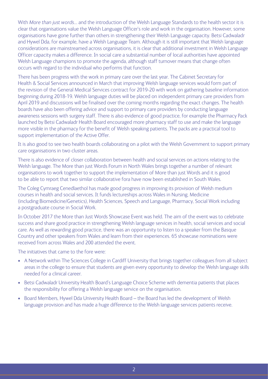With *More than just words*… and the introduction of the Welsh Language Standards to the health sector it is clear that organisations value the Welsh Language Officer's role and work in the organisation. However, some organisations have gone further than others in strengthening their Welsh Language capacity. Betsi Cadwaladr and Hywel Dda, for example, have a Welsh Language Team. Although it is still important that Welsh language considerations are mainstreamed across organisations, it is clear that additional investment in Welsh Language Officer capacity makes a difference. In social care a substantial number of local authorities have appointed Welsh Language champions to promote the agenda, although staff turnover means that change often occurs with regard to the individual who performs that function.

There has been progress with the work in primary care over the last year. The Cabinet Secretary for Health & Social Services announced in March that improving Welsh language services would form part of the revision of the General Medical Services contract for 2019-20 with work on gathering baseline information beginning during 2018-19. Welsh language duties will be placed on independent primary care providers from April 2019 and discussions will be finalised over the coming months regarding the exact changes. The health boards have also been offering advice and support to primary care providers by conducting language awareness sessions with surgery staff. There is also evidence of good practice, for example the Pharmacy Pack launched by Betsi Cadwaladr Health Board encouraged more pharmacy staff to use and make the language more visible in the pharmacy for the benefit of Welsh speaking patients. The packs are a practical tool to support implementation of the Active Offer.

It is also good to see two health boards collaborating on a pilot with the Welsh Government to support primary care organisations in two cluster areas.

There is also evidence of closer collaboration between health and social services on actions relating to the Welsh language. The More than just Words Forum in North Wales brings together a number of relevant organisations to work together to support the implementation of More than just Words and it is good to be able to report that two similar collaborative fora have now been established in South Wales.

The Coleg Cymraeg Cenedlaethol has made good progress in improving its provision of Welsh medium courses in health and social services. It funds lectureships across Wales in Nursing, Medicine (including Biomedicine/Genetics), Health Sciences, Speech and Language, Pharmacy, Social Work including a postgraduate course in Social Work.

In October 2017 the More than Just Words Showcase Event was held. The aim of the event was to celebrate success and share good practice in strengthening Welsh language services in health, social services and social care. As well as rewarding good practice, there was an opportunity to listen to a speaker from the Basque Country and other speakers from Wales and learn from their experiences. 65 showcase nominations were received from across Wales and 200 attended the event.

The initiatives that came to the fore were:

- A Network within The Sciences College in Cardiff University that brings together colleagues from all subject areas in the college to ensure that students are given every opportunity to develop the Welsh language skills needed for a clinical career.
- Betsi Cadwaladr University Health Board's Language Choice Scheme with dementia patients that places the responsibility for offering a Welsh language service on the organisation.
- Board Members, Hywel Dda University Health Board the Board has led the development of Welsh language provision and has made a huge difference to the Welsh language services patients receive.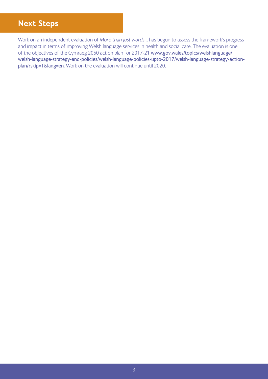## **Next Steps**

Work on an independent evaluation of *More than just words*… has begun to assess the framework's progress and impact in terms of improving Welsh language services in health and social care. The evaluation is one of the objectives of the Cymraeg 2050 action plan for 2017-21 www.[gov.wales/topics/welshlanguage/](https://gov.wales/topics/welshlanguage/welsh-language-strategy-and-policies/welsh-language-policies-upto-2017/welsh-language-strategy-action-plan/?skip=1&lang=en) [welsh-language-strategy-and-policies/welsh-language-policies-upto-2017/welsh-language-strategy-action](https://gov.wales/topics/welshlanguage/welsh-language-strategy-and-policies/welsh-language-policies-upto-2017/welsh-language-strategy-action-plan/?skip=1&lang=en)[plan/?skip=1&lang=en](https://gov.wales/topics/welshlanguage/welsh-language-strategy-and-policies/welsh-language-policies-upto-2017/welsh-language-strategy-action-plan/?skip=1&lang=en). Work on the evaluation will continue until 2020.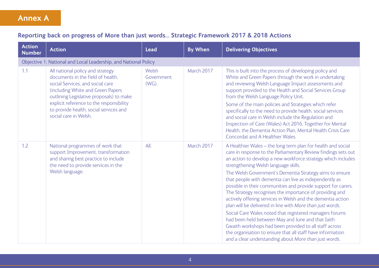## **Annex A**

#### **Reporting back on progress of More than just words… Strategic Framework 2017 & 2018 Actions**

| <b>Action</b><br><b>Number</b> | <b>Action</b>                                                                                                                                                                                                                                                                                             | <b>Lead</b>                     | <b>By When</b> | <b>Delivering Objectives</b>                                                                                                                                                                                                                                                                                                                                                                                                                                                                                                                                                                                                                                                                                                                                                                                                                                                                                         |  |  |  |  |  |
|--------------------------------|-----------------------------------------------------------------------------------------------------------------------------------------------------------------------------------------------------------------------------------------------------------------------------------------------------------|---------------------------------|----------------|----------------------------------------------------------------------------------------------------------------------------------------------------------------------------------------------------------------------------------------------------------------------------------------------------------------------------------------------------------------------------------------------------------------------------------------------------------------------------------------------------------------------------------------------------------------------------------------------------------------------------------------------------------------------------------------------------------------------------------------------------------------------------------------------------------------------------------------------------------------------------------------------------------------------|--|--|--|--|--|
|                                | Objective 1: National and Local Leadership, and National Policy                                                                                                                                                                                                                                           |                                 |                |                                                                                                                                                                                                                                                                                                                                                                                                                                                                                                                                                                                                                                                                                                                                                                                                                                                                                                                      |  |  |  |  |  |
| 1.1                            | All national policy and strategy<br>documents in the field of health.<br>social Services, and social care<br>(including White and Green Papers<br>outlining Legislative proposals) to make<br>explicit reference to the responsibility<br>to provide health, social services and<br>social care in Welsh. | Welsh<br>Government<br>$(WG)$ . | March 2017     | This is built into the process of developing policy and<br>White and Green Papers through the work in undertaking<br>and reviewing Welsh Language Impact assessments and<br>support provided to the Health and Social Services Group<br>from the Welsh Language Policy Unit.<br>Some of the main policies and Strategies which refer<br>specifically to the need to provide health, social services<br>and social care in Welsh include the Regulation and<br>Inspection of Care (Wales) Act 2016, Together for Mental<br>Health, the Dementia Action Plan, Mental Health Crisis Care<br>Concordat and A Healthier Wales.                                                                                                                                                                                                                                                                                            |  |  |  |  |  |
| 1.2                            | National programmes of work that<br>support Improvement, transformation<br>and sharing best practice to include<br>the need to provide services in the<br>Welsh language.                                                                                                                                 | All.                            | March 2017     | A Healthier Wales - the long term plan for health and social<br>care in response to the Parliamentary Review findings sets out<br>an action to develop a new workforce strategy which includes<br>strengthening Welsh language skills.<br>The Welsh Government's Dementia Strategy aims to ensure<br>that people with dementia can live as independently as<br>possible in their communities and provide support for carers.<br>The Strategy recognises the importance of providing and<br>actively offering services in Welsh and the dementia action<br>plan will be delivered in line with More than just words.<br>Social Care Wales noted that registered managers forums<br>had been held between May and June and that Iaith<br>Gwaith workshops had been provided to all staff across<br>the organisation to ensure that all staff have information<br>and a clear understanding about More than just words. |  |  |  |  |  |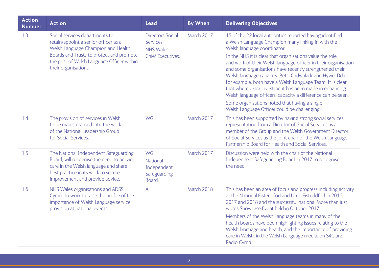| <b>Action</b><br><b>Number</b> | <b>Action</b>                                                                                                                                                                                                                 | <b>Lead</b>                                                                          | <b>By When</b> | <b>Delivering Objectives</b>                                                                                                                                                                                                                                                                                                                                                                                                                                                                                                                                                                                                                                                              |
|--------------------------------|-------------------------------------------------------------------------------------------------------------------------------------------------------------------------------------------------------------------------------|--------------------------------------------------------------------------------------|----------------|-------------------------------------------------------------------------------------------------------------------------------------------------------------------------------------------------------------------------------------------------------------------------------------------------------------------------------------------------------------------------------------------------------------------------------------------------------------------------------------------------------------------------------------------------------------------------------------------------------------------------------------------------------------------------------------------|
| 1.3                            | Social services departments to<br>retain/appoint a senior officer as a<br>Welsh Language Champion and Health<br>Boards and Trusts to protect and promote<br>the post of Welsh Language Officer within<br>their organisations. | <b>Directors Social</b><br>Services.<br><b>NHS Wales</b><br><b>Chief Executives.</b> | March 2017     | 15 of the 22 local authorities reported having identified<br>a Welsh Language Champion many linking in with the<br>Welsh language coordinator.<br>In the NHS it is clear that organisations value the role<br>and work of their Welsh language officer in their organisation<br>and some organisations have recently strengthened their<br>Welsh language capacity, Betsi Cadwaladr and Hywel Dda,<br>for example, both have a Welsh Language Team. It is clear<br>that where extra investment has been made in enhancing<br>Welsh language officers' capacity a difference can be seen.<br>Some organisations noted that having a single<br>Welsh Language Officer could be challenging. |
| 1.4                            | The provision of services in Welsh<br>to be mainstreamed into the work<br>of the National Leadership Group<br>for Social Services.                                                                                            | WG.                                                                                  | March 2017     | This has been supported by having strong social services<br>representation from a Director of Social Services as a<br>member of the Group and the Welsh Government Director<br>of Social Services as the joint chair of the Welsh Language<br>Partnership Board for Health and Social Services.                                                                                                                                                                                                                                                                                                                                                                                           |
| 1.5                            | The National Independent Safeguarding<br>Board, will recognise the need to provide<br>care in the Welsh language and share<br>best practice in its work to secure<br>improvement and provide advice.                          | WG.<br>National<br>Independent<br>Safeguarding<br>Board.                             | March 2017     | Discussion were held with the chair of the National<br>Independent Safeguarding Board in 2017 to recognise<br>the need.                                                                                                                                                                                                                                                                                                                                                                                                                                                                                                                                                                   |
| 1.6                            | NHS Wales organisations and ADSS<br>Cymru to work to raise the profile of the<br>importance of Welsh Language service<br>provision at national events.                                                                        | All.                                                                                 | March 2018     | This has been an area of focus and progress including activity<br>at the National Eisteddfod and Urdd Eisteddfod in 2016,<br>2017 and 2018 and the successful national More than just<br>words Showcase Event held in October 2017.<br>Members of the Welsh Language teams in many of the<br>health boards have been highlighting issues relating to the<br>Welsh language and health, and the importance of providing<br>care in Welsh, in the Welsh Language media, on S4C and<br>Radio Cymru.                                                                                                                                                                                          |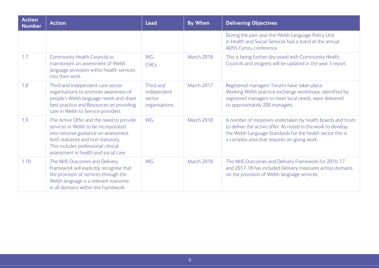| <b>Action</b><br><b>Number</b> | <b>Action</b>                                                                                                                                                                                                                                  | <b>Lead</b>                                          | <b>By When</b>    | <b>Delivering Objectives</b>                                                                                                                                                                                                                |
|--------------------------------|------------------------------------------------------------------------------------------------------------------------------------------------------------------------------------------------------------------------------------------------|------------------------------------------------------|-------------------|---------------------------------------------------------------------------------------------------------------------------------------------------------------------------------------------------------------------------------------------|
|                                |                                                                                                                                                                                                                                                |                                                      |                   | During the past year the Welsh Language Policy Unit<br>in Health and Social Services had a stand at the annual<br>ADSS Cymru conference.                                                                                                    |
| 1.7                            | <b>Community Health Councils to</b><br>mainstream an assessment of Welsh<br>language provision within health services<br>into their work.                                                                                                      | WG.<br>CHC <sub>s</sub> .                            | <b>March 2018</b> | This is being further discussed with Community Health<br>Councils and progress will be updated in the year 3 report.                                                                                                                        |
| 1.8                            | Third and independent care sector<br>organisations to promote awareness of<br>people's Welsh language needs and share<br>best practice and Resources on providing<br>care in Welsh to Service providers.                                       | Third and<br>independent<br>sector<br>organisations. | <b>March 2017</b> | Registered managers' forums have taken place.<br>Working Welsh practice exchange workshops, identified by<br>registered managers to meet local needs, were delivered<br>to approximately 200 managers.                                      |
| 1.9                            | The Active Offer and the need to provide<br>services in Welsh to be incorporated<br>into national guidance on assessment,<br>both statutory and non-statutory.<br>This includes professional clinical<br>assessment in health and social care. | WG.                                                  | March 2018        | A number of initiatives undertaken by health boards and trusts<br>to deliver the active offer. As noted in the work to develop<br>the Welsh Language Standards for the health sector this is<br>a complex area that requires on-going work. |
| 1.10                           | The NHS Outcomes and Delivery<br>Framework will explicitly recognise that<br>the provision of services through the<br>Welsh language is a relevant outcome<br>in all domains within the framework.                                             | WG.                                                  | March 2018        | The NHS Outcomes and Delivery Framework for 2016-17<br>and 2017-18 has included Delivery measures across domains<br>on the provision of Welsh language services.                                                                            |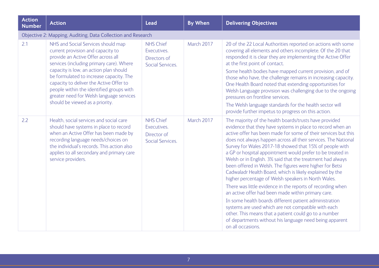| <b>Action</b><br><b>Number</b> | <b>Action</b>                                                                                                                                                                                                                                                                                                                                                                                                        | <b>Lead</b>                                                         | <b>By When</b> | <b>Delivering Objectives</b>                                                                                                                                                                                                                                                                                                                                                                                                                                                                                                                                                                                                                                                                                                                                                                                                                                                                                                                                                                                 |
|--------------------------------|----------------------------------------------------------------------------------------------------------------------------------------------------------------------------------------------------------------------------------------------------------------------------------------------------------------------------------------------------------------------------------------------------------------------|---------------------------------------------------------------------|----------------|--------------------------------------------------------------------------------------------------------------------------------------------------------------------------------------------------------------------------------------------------------------------------------------------------------------------------------------------------------------------------------------------------------------------------------------------------------------------------------------------------------------------------------------------------------------------------------------------------------------------------------------------------------------------------------------------------------------------------------------------------------------------------------------------------------------------------------------------------------------------------------------------------------------------------------------------------------------------------------------------------------------|
|                                | Objective 2: Mapping, Auditing, Data Collection and Research                                                                                                                                                                                                                                                                                                                                                         |                                                                     |                |                                                                                                                                                                                                                                                                                                                                                                                                                                                                                                                                                                                                                                                                                                                                                                                                                                                                                                                                                                                                              |
| 2.1                            | NHS and Social Services should map<br>current provision and capacity to<br>provide an Active Offer across all<br>services (including primary care). Where<br>capacity is low, an action plan should<br>be formulated to increase capacity. The<br>capacity to deliver the Active Offer to<br>people within the identified groups with<br>greater need for Welsh language services<br>should be viewed as a priority. | <b>NHS Chief</b><br>Executives.<br>Directors of<br>Social Services. | March 2017     | 20 of the 22 Local Authorities reported on actions with some<br>covering all elements and others incomplete. Of the 20 that<br>responded it is clear they are implementing the Active Offer<br>at the first point of contact.<br>Some health bodies have mapped current provision, and of<br>those who have, the challenge remains in increasing capacity.<br>One Health Board noted that extending opportunities for<br>Welsh Language provision was challenging due to the ongoing<br>pressures on frontline services.<br>The Welsh language standards for the health sector will<br>provide further impetus to progress on this action.                                                                                                                                                                                                                                                                                                                                                                   |
| 2.2                            | Health, social services and social care<br>should have systems in place to record<br>when an Active Offer has been made by<br>recording language needs/choices on<br>the individual's records. This action also<br>applies to all secondary and primary care<br>service providers.                                                                                                                                   | <b>NHS Chief</b><br>Executives.<br>Director of<br>Social Services.  | March 2017     | The majority of the health boards/trusts have provided<br>evidence that they have systems in place to record when an<br>active offer has been made for some of their services but this<br>does not always happen across all their services. The National<br>Survey for Wales 2017-18 showed that 15% of people with<br>a GP or hospital appointment would prefer to be treated in<br>Welsh or in English. 3% said that the treatment had always<br>been offered in Welsh. The figures were higher for Betsi<br>Cadwaladr Health Board, which is likely explained by the<br>higher percentage of Welsh speakers in North Wales.<br>There was little evidence in the reports of recording when<br>an active offer had been made within primary care.<br>In some health boards different patient administration<br>systems are used which are not compatible with each<br>other. This means that a patient could go to a number<br>of departments without his language need being apparent<br>on all occasions. |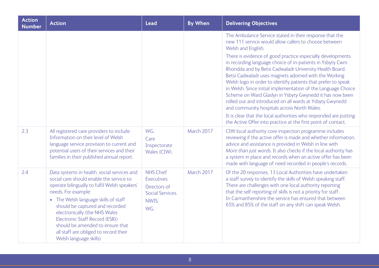| <b>Action</b><br><b>Number</b> | <b>Action</b>                                                                                                                                                                                                                                                                                                                                                                                                        | <b>Lead</b>                                                                         | <b>By When</b> | <b>Delivering Objectives</b>                                                                                                                                                                                                                                                                                                                                                                                                                                                                                                                                                                                                                                                                                                                                                                                                        |
|--------------------------------|----------------------------------------------------------------------------------------------------------------------------------------------------------------------------------------------------------------------------------------------------------------------------------------------------------------------------------------------------------------------------------------------------------------------|-------------------------------------------------------------------------------------|----------------|-------------------------------------------------------------------------------------------------------------------------------------------------------------------------------------------------------------------------------------------------------------------------------------------------------------------------------------------------------------------------------------------------------------------------------------------------------------------------------------------------------------------------------------------------------------------------------------------------------------------------------------------------------------------------------------------------------------------------------------------------------------------------------------------------------------------------------------|
|                                |                                                                                                                                                                                                                                                                                                                                                                                                                      |                                                                                     |                | The Ambulance Service stated in their response that the<br>new 111 service would allow callers to choose between<br>Welsh and English.<br>There is evidence of good practice especially developments<br>in recording language choice of in-patients in Ysbyty Cwm<br>Rhondda and by Betsi Cadwaladr University Health Board.<br>Betsi Cadwaladr uses magnets adorned with the Working<br>Welsh logo in order to identify patients that prefer to speak<br>in Welsh. Since initial implementation of the Language Choice<br>Scheme on Ward Glaslyn in Ysbyty Gwynedd it has now been<br>rolled out and introduced on all wards at Ysbyty Gwynedd<br>and community hospitals across North Wales.<br>It is clear that the local authorities who responded are putting<br>the Active Offer into practice at the first point of contact. |
| 2.3                            | All registered care providers to include<br>Information on their level of Welsh<br>language service provision to current and<br>potential users of their services and their<br>families in their published annual report.                                                                                                                                                                                            | WG.<br>Care<br>Inspectorate<br>Wales (CIW).                                         | March 2017     | CIW local authority core inspection programme includes<br>reviewing if the active offer is made and whether information,<br>advice and assistance is provided in Welsh in line with<br>More than just words. It also checks if the local authority has<br>a system in place and records when an active offer has been<br>made with language of need recorded in people's records.                                                                                                                                                                                                                                                                                                                                                                                                                                                   |
| 2.4                            | Data systems in health, social services and<br>social care should enable the service to<br>operate bilingually to fulfil Welsh speakers'<br>needs. For example:<br>• The Welsh language skills of staff<br>should be captured and recorded<br>electronically (the NHS Wales<br>Electronic Staff Record (ESR))<br>should be amended to ensure that<br>all staff are obliged to record their<br>Welsh language skills) | <b>NHS Chief</b><br>Executives.<br>Directors of<br>Social Services.<br>NWIS.<br>WG. | March 2017     | Of the 20 responses, 13 Local Authorities have undertaken<br>a staff survey to identify the skills of Welsh speaking staff.<br>There are challenges with one local authority reporting<br>that the self reporting of skills is not a priority for staff.<br>In Carmarthenshire the service has ensured that between<br>65% and 85% of the staff on any shift can speak Welsh.                                                                                                                                                                                                                                                                                                                                                                                                                                                       |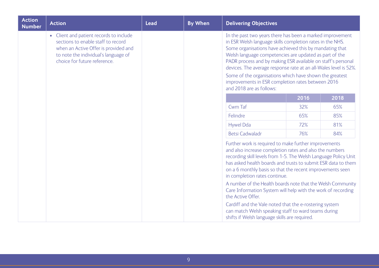| <b>Action</b><br><b>Number</b> | <b>Action</b>                                                                                                                                                                                 | <b>Lead</b> | <b>By When</b> | <b>Delivering Objectives</b>                                                                                                                                                                                                                                                                                                                                                                                                                                                                                                |      |      |
|--------------------------------|-----------------------------------------------------------------------------------------------------------------------------------------------------------------------------------------------|-------------|----------------|-----------------------------------------------------------------------------------------------------------------------------------------------------------------------------------------------------------------------------------------------------------------------------------------------------------------------------------------------------------------------------------------------------------------------------------------------------------------------------------------------------------------------------|------|------|
|                                | • Client and patient records to include<br>sections to enable staff to record<br>when an Active Offer is provided and<br>to note the individual's language of<br>choice for future reference. |             |                | In the past two years there has been a marked improvement<br>in ESR Welsh language skills completion rates in the NHS.<br>Some organisations have achieved this by mandating that<br>Welsh language competencies are updated as part of the<br>PADR process and by making ESR available on staff's personal<br>devices. The average response rate at an all-Wales level is 52%.<br>Some of the organisations which have shown the greatest<br>improvements in ESR completion rates between 2016<br>and 2018 are as follows: |      |      |
|                                |                                                                                                                                                                                               |             |                |                                                                                                                                                                                                                                                                                                                                                                                                                                                                                                                             | 2016 | 2018 |
|                                |                                                                                                                                                                                               |             |                | Cwm Taf                                                                                                                                                                                                                                                                                                                                                                                                                                                                                                                     | 32%  | 65%  |
|                                |                                                                                                                                                                                               |             |                | Felindre                                                                                                                                                                                                                                                                                                                                                                                                                                                                                                                    | 65%  | 85%  |
|                                |                                                                                                                                                                                               |             |                | <b>Hywel Dda</b>                                                                                                                                                                                                                                                                                                                                                                                                                                                                                                            | 72%  | 81%  |
|                                |                                                                                                                                                                                               |             |                | <b>Betsi Cadwaladr</b>                                                                                                                                                                                                                                                                                                                                                                                                                                                                                                      | 76%  | 84%  |
|                                |                                                                                                                                                                                               |             |                | Further work is required to make further improvements<br>and also increase completion rates and also the numbers<br>recording skill levels from 1-5. The Welsh Language Policy Unit<br>has asked health boards and trusts to submit ESR data to them<br>on a 6 monthly basis so that the recent improvements seen<br>in completion rates continue.                                                                                                                                                                          |      |      |
|                                |                                                                                                                                                                                               |             |                | A number of the Health boards note that the Welsh Community<br>Care Information System will help with the work of recording<br>the Active Offer.                                                                                                                                                                                                                                                                                                                                                                            |      |      |
|                                |                                                                                                                                                                                               |             |                | Cardiff and the Vale noted that the e-rostering system<br>can match Welsh speaking staff to ward teams during<br>shifts if Welsh language skills are required.                                                                                                                                                                                                                                                                                                                                                              |      |      |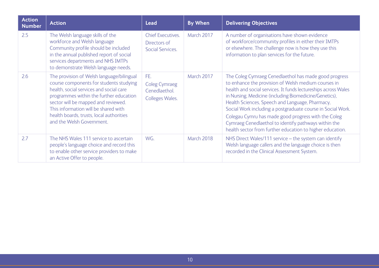| <b>Action</b><br><b>Number</b> | <b>Action</b>                                                                                                                                                                                                                                                                                                                      | <b>Lead</b>                                                     | <b>By When</b> | <b>Delivering Objectives</b>                                                                                                                                                                                                                                                                                                                                                                                                                                                                                                           |
|--------------------------------|------------------------------------------------------------------------------------------------------------------------------------------------------------------------------------------------------------------------------------------------------------------------------------------------------------------------------------|-----------------------------------------------------------------|----------------|----------------------------------------------------------------------------------------------------------------------------------------------------------------------------------------------------------------------------------------------------------------------------------------------------------------------------------------------------------------------------------------------------------------------------------------------------------------------------------------------------------------------------------------|
| 2.5                            | The Welsh language skills of the<br>workforce and Welsh language<br>Community profile should be included<br>in the annual published report of social<br>services departments and NHS IMTPs<br>to demonstrate Welsh language needs.                                                                                                 | <b>Chief Executives.</b><br>Directors of<br>Social Services.    | March 2017     | A number of organisations have shown evidence<br>of workforce/community profiles in either their IMTPs<br>or elsewhere. The challenge now is how they use this<br>information to plan services for the future.                                                                                                                                                                                                                                                                                                                         |
| 2.6                            | The provision of Welsh language/bilingual<br>course components for students studying<br>health, social services and social care<br>programmes within the further education<br>sector will be mapped and reviewed.<br>This information will be shared with<br>health boards, trusts, local authorities<br>and the Welsh Government. | FE.<br><b>Coleg Cymraeg</b><br>Cenedlaethol.<br>Colleges Wales. | March 2017     | The Coleg Cymraeg Cenedlaethol has made good progress<br>to enhance the provision of Welsh medium courses in<br>health and social services. It funds lectureships across Wales<br>in Nursing, Medicine (including Biomedicine/Genetics),<br>Health Sciences, Speech and Language, Pharmacy,<br>Social Work including a postgraduate course in Social Work.<br>Colegau Cymru has made good progress with the Coleg<br>Cymraeg Cenedlaethol to identify pathways within the<br>health sector from further education to higher education. |
| 2.7                            | The NHS Wales 111 service to ascertain<br>people's language choice and record this<br>to enable other service providers to make<br>an Active Offer to people.                                                                                                                                                                      | WG.                                                             | March 2018     | NHS Direct Wales/111 service - the system can identify<br>Welsh language callers and the language choice is then<br>recorded in the Clinical Assessment System.                                                                                                                                                                                                                                                                                                                                                                        |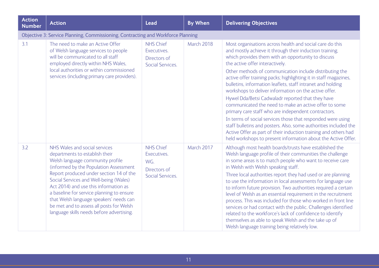| <b>Action</b><br><b>Number</b> | <b>Action</b>                                                                                                                                                                                                                                                                                                                                                                                                                                                | <b>Lead</b>                                                                | <b>By When</b> | <b>Delivering Objectives</b>                                                                                                                                                                                                                                                                                                                                                                                                                                                                                                                                                                                                                                                                                                                                                                                                                                                                                    |
|--------------------------------|--------------------------------------------------------------------------------------------------------------------------------------------------------------------------------------------------------------------------------------------------------------------------------------------------------------------------------------------------------------------------------------------------------------------------------------------------------------|----------------------------------------------------------------------------|----------------|-----------------------------------------------------------------------------------------------------------------------------------------------------------------------------------------------------------------------------------------------------------------------------------------------------------------------------------------------------------------------------------------------------------------------------------------------------------------------------------------------------------------------------------------------------------------------------------------------------------------------------------------------------------------------------------------------------------------------------------------------------------------------------------------------------------------------------------------------------------------------------------------------------------------|
|                                | Objective 3: Service Planning, Commissioning, Contracting and Workforce Planning                                                                                                                                                                                                                                                                                                                                                                             |                                                                            |                |                                                                                                                                                                                                                                                                                                                                                                                                                                                                                                                                                                                                                                                                                                                                                                                                                                                                                                                 |
| 3.1                            | The need to make an Active Offer<br>of Welsh language services to people<br>will be communicated to all staff<br>employed directly within NHS Wales,<br>local authorities or within commissioned<br>services (including primary care providers).                                                                                                                                                                                                             | <b>NHS Chief</b><br>Executives.<br>Directors of<br><b>Social Services.</b> | March 2018     | Most organisations across health and social care do this<br>and mostly achieve it through their induction training,<br>which provides them with an opportunity to discuss<br>the active offer interactively.<br>Other methods of communication include distributing the<br>active offer training packs; highlighting it in staff magazines,<br>bulletins, information leaflets, staff intranet and holding<br>workshops to deliver information on the active offer.<br>Hywel Dda/Betsi Cadwaladr reported that they have<br>communicated the need to make an active offer to some<br>primary care staff who are independent contractors.<br>In terms of social services those that responded were using<br>staff bulletins and posters. Also, some authorities included the<br>Active Offer as part of their induction training and others had<br>held workshops to present information about the Active Offer. |
| 3.2                            | NHS Wales and social services<br>departments to establish their<br>Welsh language community profile<br>(informed by the Population Assessment<br>Report produced under section 14 of the<br>Social Services and Well-being (Wales)<br>Act 2014) and use this information as<br>a baseline for service planning to ensure<br>that Welsh language speakers' needs can<br>be met and to assess all posts for Welsh<br>language skills needs before advertising. | <b>NHS Chief</b><br>Executives.<br>WG.<br>Directors of<br>Social Services. | March 2017     | Although most health boards/trusts have established the<br>Welsh language profile of their communities the challenge<br>in some areas is to match people who want to receive care<br>in Welsh with Welsh speaking staff.<br>Three local authorities report they had used or are planning<br>to use the information in local assessments for language use<br>to inform future provision. Two authorities required a certain<br>level of Welsh as an essential requirement in the recruitment<br>process. This was included for those who worked in front line<br>services or had contact with the public. Challenges identified<br>related to the workforce's lack of confidence to identify<br>themselves as able to speak Welsh and the take up of<br>Welsh language training being relatively low.                                                                                                            |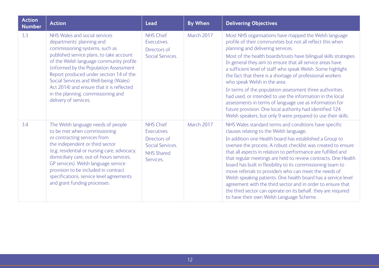| <b>Action</b><br><b>Number</b> | <b>Action</b>                                                                                                                                                                                                                                                                                                                                                                                                                  | <b>Lead</b>                                                                                           | <b>By When</b> | <b>Delivering Objectives</b>                                                                                                                                                                                                                                                                                                                                                                                                                                                                                                                                                                                                                                                                                                                                            |
|--------------------------------|--------------------------------------------------------------------------------------------------------------------------------------------------------------------------------------------------------------------------------------------------------------------------------------------------------------------------------------------------------------------------------------------------------------------------------|-------------------------------------------------------------------------------------------------------|----------------|-------------------------------------------------------------------------------------------------------------------------------------------------------------------------------------------------------------------------------------------------------------------------------------------------------------------------------------------------------------------------------------------------------------------------------------------------------------------------------------------------------------------------------------------------------------------------------------------------------------------------------------------------------------------------------------------------------------------------------------------------------------------------|
| 3.3                            | NHS Wales and social services<br>departments' planning and<br>commissioning systems, such as<br>published service plans, to take account<br>of the Welsh language community profile<br>(informed by the Population Assessment<br>Report produced under section 14 of the<br>Social Services and Well-being (Wales)<br>Act 2014) and ensure that it is reflected<br>in the planning, commissioning and<br>delivery of services. | <b>NHS Chief</b><br>Executives.<br>Directors of<br>Social Services.                                   | March 2017     | Most NHS organisations have mapped the Welsh language<br>profile of their communities but not all reflect this when<br>planning and delivering services.<br>Most of the health boards/trusts have bilingual skills strategies.<br>In general they aim to ensure that all service areas have<br>a sufficient level of staff who speak Welsh. Some highlight<br>the fact that there is a shortage of professional workers<br>who speak Welsh in the area.<br>In terms of the population assessment three authorities<br>had used, or intended to use the information in the local<br>assessments in terms of language use as information for<br>future provision. One local authority had identified 124<br>Welsh speakers, but only 9 were prepared to use their skills. |
| 3.4                            | The Welsh language needs of people<br>to be met when commissioning<br>or contracting services from<br>the independent or third sector<br>(e.g. residential or nursing care, advocacy,<br>domiciliary care, out-of-hours services,<br>GP services). Welsh language service<br>provision to be included in contract<br>specifications, service level agreements<br>and grant funding processes.                                  | <b>NHS Chief</b><br>Executives.<br>Directors of<br>Social Services.<br><b>NHS Shared</b><br>Services. | March 2017     | NHS Wales standard terms and conditions have specific<br>clauses relating to the Welsh language.<br>In addition one Health board has established a Group to<br>oversee the process. A robust checklist was created to ensure<br>that all aspects in relation to performance are fulfilled and<br>that regular meetings are held to review contracts. One Health<br>board has built in flexibility to its commissioning team to<br>move referrals to providers who can meet the needs of<br>Welsh speaking patients. One health board has a service level<br>agreement with the third sector and in order to ensure that<br>the third sector can operate on its behalf, they are required<br>to have their own Welsh Language Scheme.                                    |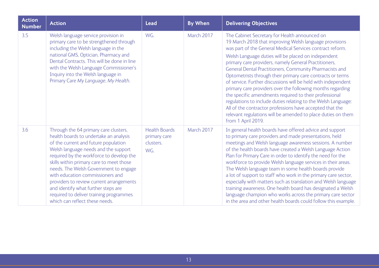| <b>Action</b><br><b>Number</b> | <b>Action</b>                                                                                                                                                                                                                                                                                                                                                                                                                                                                                        | <b>Lead</b>                                              | <b>By When</b> | <b>Delivering Objectives</b>                                                                                                                                                                                                                                                                                                                                                                                                                                                                                                                                                                                                                                                                                                                                                                                              |
|--------------------------------|------------------------------------------------------------------------------------------------------------------------------------------------------------------------------------------------------------------------------------------------------------------------------------------------------------------------------------------------------------------------------------------------------------------------------------------------------------------------------------------------------|----------------------------------------------------------|----------------|---------------------------------------------------------------------------------------------------------------------------------------------------------------------------------------------------------------------------------------------------------------------------------------------------------------------------------------------------------------------------------------------------------------------------------------------------------------------------------------------------------------------------------------------------------------------------------------------------------------------------------------------------------------------------------------------------------------------------------------------------------------------------------------------------------------------------|
| 3.5                            | Welsh language service provision in<br>primary care to be strengthened through<br>including the Welsh language in the<br>national GMS, Optician, Pharmacy and<br>Dental Contracts. This will be done in line<br>with the Welsh Language Commissioner's<br>Inquiry into the Welsh language in<br>Primary Care My Language, My Health.                                                                                                                                                                 | WG.                                                      | March 2017     | The Cabinet Secretary for Health announced on<br>19 March 2018 that improving Welsh language provisions<br>was part of the General Medical Services contract reform.<br>Welsh Language duties will be placed on independent<br>primary care providers, namely General Practitioners,<br>General Dental Practitioners, Community Pharmacists and<br>Optometrists through their primary care contracts or terms<br>of service. Further discussions will be held with independent<br>primary care providers over the following months regarding<br>the specific amendments required to their professional<br>regulations to include duties relating to the Welsh Language:<br>All of the contractor professions have accepted that the<br>relevant regulations will be amended to place duties on them<br>from 1 April 2019. |
| 3.6                            | Through the 64 primary care clusters,<br>health boards to undertake an analysis<br>of the current and future population<br>Welsh language needs and the support<br>required by the workforce to develop the<br>skills within primary care to meet those<br>needs. The Welsh Government to engage<br>with education commissioners and<br>providers to review current arrangements<br>and identify what further steps are<br>required to deliver training programmes<br>which can reflect these needs. | <b>Health Boards</b><br>primary care<br>clusters.<br>WG. | March 2017     | In general health boards have offered advice and support<br>to primary care providers and made presentations, held<br>meetings and Welsh language awareness sessions. A number<br>of the health boards have created a Welsh Language Action<br>Plan for Primary Care in order to identify the need for the<br>workforce to provide Welsh language services in their areas.<br>The Welsh language team in some health boards provide<br>a lot of support to staff who work in the primary care sector,<br>especially with matters such as translation and Welsh language<br>training awareness. One health board has designated a Welsh<br>language champion who works across the primary care sector<br>in the area and other health boards could follow this example.                                                    |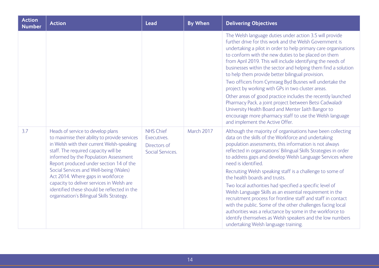| <b>Action</b><br><b>Number</b> | <b>Action</b>                                                                                                                                                                                                                                                                                                                                                                                                                                                                        | <b>Lead</b>                                                         | <b>By When</b> | <b>Delivering Objectives</b>                                                                                                                                                                                                                                                                                                                                                                                                                                                                                                                                                                                                                                                                                                                                                                                                                             |
|--------------------------------|--------------------------------------------------------------------------------------------------------------------------------------------------------------------------------------------------------------------------------------------------------------------------------------------------------------------------------------------------------------------------------------------------------------------------------------------------------------------------------------|---------------------------------------------------------------------|----------------|----------------------------------------------------------------------------------------------------------------------------------------------------------------------------------------------------------------------------------------------------------------------------------------------------------------------------------------------------------------------------------------------------------------------------------------------------------------------------------------------------------------------------------------------------------------------------------------------------------------------------------------------------------------------------------------------------------------------------------------------------------------------------------------------------------------------------------------------------------|
|                                |                                                                                                                                                                                                                                                                                                                                                                                                                                                                                      |                                                                     |                | The Welsh language duties under action 3.5 will provide<br>further drive for this work and the Welsh Government is<br>undertaking a pilot in order to help primary care organisations<br>to conform with the new duties to be placed on them<br>from April 2019. This will include identifying the needs of<br>businesses within the sector and helping them find a solution<br>to help them provide better bilingual provision.<br>Two officers from Cymraeg Byd Busnes will undertake the<br>project by working with GPs in two cluster areas.<br>Other areas of good practice includes the recently launched<br>Pharmacy Pack, a joint project between Betsi Cadwaladr<br>University Health Board and Menter Iaith Bangor to<br>encourage more pharmacy staff to use the Welsh language<br>and implement the Active Offer.                            |
| 3.7                            | Heads of service to develop plans<br>to maximise their ability to provide services<br>in Welsh with their current Welsh-speaking<br>staff. The required capacity will be<br>informed by the Population Assessment<br>Report produced under section 14 of the<br>Social Services and Well-being (Wales)<br>Act 2014. Where gaps in workforce<br>capacity to deliver services in Welsh are<br>identified these should be reflected in the<br>organisation's Bilingual Skills Strategy. | <b>NHS Chief</b><br>Executives.<br>Directors of<br>Social Services. | March 2017     | Although the majority of organisations have been collecting<br>data on the skills of the Workforce and undertaking<br>population assessments, this information is not always<br>reflected in organisations' Bilingual Skills Strategies in order<br>to address gaps and develop Welsh Language Services where<br>need is identified.<br>Recruiting Welsh speaking staff is a challenge to some of<br>the health boards and trusts.<br>Two local authorities had specified a specific level of<br>Welsh Language Skills as an essential requirement in the<br>recruitment process for frontline staff and staff in contact<br>with the public. Some of the other challenges facing local<br>authorities was a reluctance by some in the workforce to<br>identify themselves as Welsh speakers and the low numbers<br>undertaking Welsh language training. |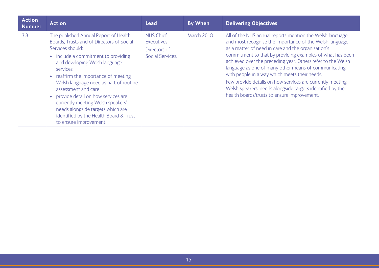| <b>Action</b><br>Number | <b>Action</b>                                                                                                                                                                                                                                                                                                                                                                                                                                                                             | <b>Lead</b>                                                         | <b>By When</b>    | <b>Delivering Objectives</b>                                                                                                                                                                                                                                                                                                                                                                                                                                                                                                                                                            |
|-------------------------|-------------------------------------------------------------------------------------------------------------------------------------------------------------------------------------------------------------------------------------------------------------------------------------------------------------------------------------------------------------------------------------------------------------------------------------------------------------------------------------------|---------------------------------------------------------------------|-------------------|-----------------------------------------------------------------------------------------------------------------------------------------------------------------------------------------------------------------------------------------------------------------------------------------------------------------------------------------------------------------------------------------------------------------------------------------------------------------------------------------------------------------------------------------------------------------------------------------|
| 3.8                     | The published Annual Report of Health<br>Boards, Trusts and of Directors of Social<br>Services should:<br>• include a commitment to providing<br>and developing Welsh language<br>services<br>• reaffirm the importance of meeting<br>Welsh language need as part of routine<br>assessment and care<br>• provide detail on how services are<br>currently meeting Welsh speakers'<br>needs alongside targets which are<br>identified by the Health Board & Trust<br>to ensure improvement. | <b>NHS Chief</b><br>Executives.<br>Directors of<br>Social Services. | <b>March 2018</b> | All of the NHS annual reports mention the Welsh language<br>and most recognise the importance of the Welsh language<br>as a matter of need in care and the organisation's<br>commitment to that by providing examples of what has been<br>achieved over the preceding year. Others refer to the Welsh<br>language as one of many other means of communicating<br>with people in a way which meets their needs.<br>Few provide details on how services are currently meeting<br>Welsh speakers' needs alongside targets identified by the<br>health boards/trusts to ensure improvement. |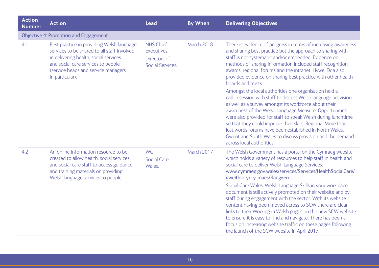| <b>Action</b><br><b>Number</b> | <b>Action</b>                                                                                                                                                                                                                     | <b>Lead</b>                                                                | <b>By When</b> | <b>Delivering Objectives</b>                                                                                                                                                                                                                                                                                                                                                                                                                                                                                                                                                                                                                                                                                                                                                  |
|--------------------------------|-----------------------------------------------------------------------------------------------------------------------------------------------------------------------------------------------------------------------------------|----------------------------------------------------------------------------|----------------|-------------------------------------------------------------------------------------------------------------------------------------------------------------------------------------------------------------------------------------------------------------------------------------------------------------------------------------------------------------------------------------------------------------------------------------------------------------------------------------------------------------------------------------------------------------------------------------------------------------------------------------------------------------------------------------------------------------------------------------------------------------------------------|
|                                | <b>Objective 4: Promotion and Engagement</b>                                                                                                                                                                                      |                                                                            |                |                                                                                                                                                                                                                                                                                                                                                                                                                                                                                                                                                                                                                                                                                                                                                                               |
| 4.1                            | Best practice in providing Welsh language<br>services to be shared to all staff involved<br>in delivering health, social services<br>and social care services to people<br>(service heads and service managers<br>in particular). | <b>NHS Chief</b><br>Executives.<br>Directors of<br><b>Social Services.</b> | March 2018     | There is evidence of progress in terms of increasing awareness<br>and sharing best practice but the approach to sharing with<br>staff is not systematic and/or embedded. Evidence on<br>methods of sharing information included staff recognition<br>awards, regional forums and the intranet. Hywel Dda also<br>provided evidence on sharing best practice with other health<br>boards and trusts.                                                                                                                                                                                                                                                                                                                                                                           |
|                                |                                                                                                                                                                                                                                   |                                                                            |                | Amongst the local authorities one organisation held a<br>call-in session with staff to discuss Welsh language provision<br>as well as a survey amongst its workforce about their<br>awareness of the Welsh Language Measure. Opportunities<br>were also provided for staff to speak Welsh during lunchtime<br>so that they could improve their skills. Regional More than<br>just words forums have been established in North Wales,<br>Gwent and South Wales to discuss provision and the demand<br>across local authorities.                                                                                                                                                                                                                                                |
| 4.2                            | An online information resource to be<br>created to allow health, social services<br>and social care staff to access guidance<br>and training materials on providing<br>Welsh language services to people.                         | WG.<br><b>Social Care</b><br>Wales.                                        | March 2017     | The Welsh Government has a portal on the Cymraeg website<br>which holds a variety of resources to help staff in health and<br>social care to deliver Welsh Language Services:<br>www.cymraeg.gov.wales/services/Services/HealthSocialCare/<br>gweithio-yn-y-maes/?lang=en<br>Social Care Wales' Welsh Language Skills in your workplace<br>document is still actively promoted on their website and by<br>staff during engagement with the sector. With its website<br>content having been moved across to SCW there are clear<br>links to their Working in Welsh pages on the new SCW website<br>to ensure it is easy to find and navigate. There has been a<br>focus on increasing website traffic on these pages following<br>the launch of the SCW website in April 2017. |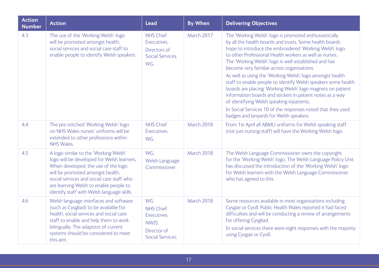| <b>Action</b><br><b>Number</b> | <b>Action</b>                                                                                                                                                                                                                                                                                       | <b>Lead</b>                                                                               | <b>By When</b> | <b>Delivering Objectives</b>                                                                                                                                                                                                                                                                                                                                                                                                                                                                                                                                                                                                                                                                                                                               |
|--------------------------------|-----------------------------------------------------------------------------------------------------------------------------------------------------------------------------------------------------------------------------------------------------------------------------------------------------|-------------------------------------------------------------------------------------------|----------------|------------------------------------------------------------------------------------------------------------------------------------------------------------------------------------------------------------------------------------------------------------------------------------------------------------------------------------------------------------------------------------------------------------------------------------------------------------------------------------------------------------------------------------------------------------------------------------------------------------------------------------------------------------------------------------------------------------------------------------------------------------|
| 4.3                            | The use of the 'Working Welsh' logo<br>will be promoted amongst health,<br>social services and social care staff to<br>enable people to identify Welsh speakers.                                                                                                                                    | <b>NHS Chief</b><br>Executives.<br>Directors of<br>Social Services.<br>WG.                | March 2017     | The 'Working Welsh' logo is promoted enthusiastically<br>by all the health boards and trusts. Some health boards<br>hope to introduce the embroidered 'Working Welsh' logo<br>to other Professional Health workers as well as nurses.<br>The 'Working Welsh' logo is well-established and has<br>become very familiar across organisations.<br>As well as using the 'Working Welsh' logo amongst health<br>staff to enable people to identify Welsh speakers some health<br>boards are placing 'Working Welsh' logo magnets on patient<br>information boards and stickers in patient notes as a way<br>of identifying Welsh speaking inpatients.<br>In Social Services 10 of the responses noted that they used<br>badges and lanyards for Welsh speakers. |
| 4.4                            | The pre-stitched 'Working Welsh' logo<br>on NHS Wales nurses' uniforms will be<br>extended to other professions within<br><b>NHS Wales.</b>                                                                                                                                                         | <b>NHS Chief</b><br>Executives.<br>WG.                                                    | March 2018     | From 1st April all ABMU uniforms for Welsh speaking staff<br>(not just nursing staff) will have the Working Welsh logo.                                                                                                                                                                                                                                                                                                                                                                                                                                                                                                                                                                                                                                    |
| 4.5                            | A logo similar to the 'Working Welsh'<br>logo will be developed for Welsh learners.<br>When developed, the use of the logo<br>will be promoted amongst health,<br>social services and social care staff who<br>are learning Welsh to enable people to<br>identify staff with Welsh language skills. | WG.<br>Welsh Language<br>Commissioner.                                                    | March 2018     | The Welsh Language Commissioner owns the copyright<br>for the 'Working Welsh' logo. The Welsh Language Policy Unit<br>has discussed the introduction of the 'Working Welsh' logo<br>for Welsh learners with the Welsh Language Commissioner<br>who has agreed to this.                                                                                                                                                                                                                                                                                                                                                                                                                                                                                     |
| 4.6                            | Welsh language interfaces and software<br>(such as Cysgliad) to be available for<br>health, social services and social care<br>staff to enable and help them to work<br>bilingually. The adaption of current<br>systems should be considered to meet<br>this aim.                                   | WG.<br><b>NHS Chief</b><br>Executives.<br>NWIS.<br>Director of<br><b>Social Services.</b> | March 2018     | Some resources available in most organisations including<br>Cysgair or Cysill. Public Health Wales reported it had faced<br>difficulties and will be conducting a review of arrangements<br>for offering Cysgliad.<br>In social services there were eight responses with the majority<br>using Cysgair or Cysill.                                                                                                                                                                                                                                                                                                                                                                                                                                          |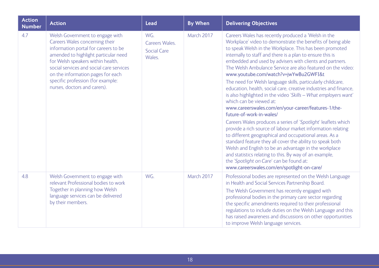| <b>Action</b><br><b>Number</b> | <b>Action</b>                                                                                                                                                                                                                                                                                                                                | <b>Lead</b>                                           | <b>By When</b> | <b>Delivering Objectives</b>                                                                                                                                                                                                                                                                                                                                                                                                                                                                                                                                                                                                                                                                                                                                                                                                                                                                                                                                                                                                                                                                                                                                                                          |
|--------------------------------|----------------------------------------------------------------------------------------------------------------------------------------------------------------------------------------------------------------------------------------------------------------------------------------------------------------------------------------------|-------------------------------------------------------|----------------|-------------------------------------------------------------------------------------------------------------------------------------------------------------------------------------------------------------------------------------------------------------------------------------------------------------------------------------------------------------------------------------------------------------------------------------------------------------------------------------------------------------------------------------------------------------------------------------------------------------------------------------------------------------------------------------------------------------------------------------------------------------------------------------------------------------------------------------------------------------------------------------------------------------------------------------------------------------------------------------------------------------------------------------------------------------------------------------------------------------------------------------------------------------------------------------------------------|
| 4.7                            | Welsh Government to engage with<br>Careers Wales concerning their<br>information portal for careers to be<br>amended to highlight particular need<br>for Welsh speakers within health,<br>social services and social care services<br>on the information pages for each<br>specific profession (for example:<br>nurses, doctors and carers). | WG.<br>Careers Wales.<br><b>Social Care</b><br>Wales. | March 2017     | Careers Wales has recently produced a 'Welsh in the<br>Workplace' video to demonstrate the benefits of being able<br>to speak Welsh in the Workplace. This has been promoted<br>internally to staff and there is a plan to ensure this is<br>embedded and used by advisers with clients and partners.<br>The Welsh Ambulance Service are also featured on the video:<br>www.youtube.com/watch?v=jwYwBu2GWFI&t<br>The need for Welsh language skills, particularly childcare,<br>education, health, social care, creative industries and finance,<br>is also highlighted in the video 'Skills - What employers want'<br>which can be viewed at:<br>www.careerswales.com/en/your-career/features-1/the-<br>future-of-work-in-wales/<br>Careers Wales produces a series of 'Spotlight' leaflets which<br>provide a rich source of labour market information relating<br>to different geographical and occupational areas. As a<br>standard feature they all cover the ability to speak both<br>Welsh and English to be an advantage in the workplace<br>and statistics relating to this. By way of an example,<br>the 'Spotlight on Care' can be found at:<br>www.careerswales.com/en/spotlight-on-care/ |
| 4.8                            | Welsh Government to engage with<br>relevant Professional bodies to work<br>Together in planning how Welsh<br>language services can be delivered<br>by their members.                                                                                                                                                                         | WG.                                                   | March 2017     | Professional bodies are represented on the Welsh Language<br>in Health and Social Services Partnership Board.<br>The Welsh Government has recently engaged with<br>professional bodies in the primary care sector regarding<br>the specific amendments required to their professional<br>regulations to include duties on the Welsh Language and this<br>has raised awareness and discussions on other opportunities<br>to improve Welsh language services.                                                                                                                                                                                                                                                                                                                                                                                                                                                                                                                                                                                                                                                                                                                                           |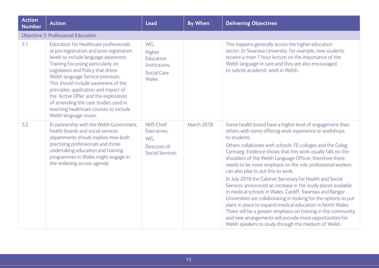| <b>Action</b><br><b>Number</b> | <b>Action</b>                                                                                                                                                                                                                                                                                                                                                                                                                                                                       | <b>Lead</b>                                                                 | <b>By When</b> | <b>Delivering Objectives</b>                                                                                                                                                                                                                                                                                                                                                                                                                                                                                                                                                                                                                                                                                                                                                                                                                                                                                                                   |
|--------------------------------|-------------------------------------------------------------------------------------------------------------------------------------------------------------------------------------------------------------------------------------------------------------------------------------------------------------------------------------------------------------------------------------------------------------------------------------------------------------------------------------|-----------------------------------------------------------------------------|----------------|------------------------------------------------------------------------------------------------------------------------------------------------------------------------------------------------------------------------------------------------------------------------------------------------------------------------------------------------------------------------------------------------------------------------------------------------------------------------------------------------------------------------------------------------------------------------------------------------------------------------------------------------------------------------------------------------------------------------------------------------------------------------------------------------------------------------------------------------------------------------------------------------------------------------------------------------|
|                                | <b>Objective 5: Professional Education</b>                                                                                                                                                                                                                                                                                                                                                                                                                                          |                                                                             |                |                                                                                                                                                                                                                                                                                                                                                                                                                                                                                                                                                                                                                                                                                                                                                                                                                                                                                                                                                |
| 5.1                            | Education for Healthcare professionals<br>at pre-registration and post-registration<br>levels to include language awareness<br>Training focussing particularly on<br>Legislation and Policy that drives<br>Welsh language Service provision.<br>This should include awareness of the<br>principles, application and impact of<br>the 'Active Offer' and the exploration<br>of amending the case studies used in<br>teaching healthcare courses to include<br>Welsh language issues. | WG.<br>Higher<br>Education<br>Institutions.<br><b>Social Care</b><br>Wales. |                | This happens generally across the higher education<br>sector. In Swansea University, for example, new students<br>receive a main 1 hour lecture on the importance of the<br>Welsh language in care and they are also encouraged<br>to submit academic work in Welsh.                                                                                                                                                                                                                                                                                                                                                                                                                                                                                                                                                                                                                                                                           |
| 5.2                            | In partnership with the Welsh Government,<br>health boards and social services<br>departments should explore how both<br>practising professionals and those<br>undertaking education and training<br>programmes in Wales might engage in<br>the widening access agenda.                                                                                                                                                                                                             | <b>NHS Chief</b><br>Executives.<br>WG.<br>Directors of<br>Social Services.  | March 2018     | Some health board have a higher level of engagement than<br>others with some offering work experience or workshops<br>to students.<br>Others collaborate with schools, FE colleges and the Coleg<br>Cymraeg. Evidence shows that this work usually falls on the<br>shoulders of the Welsh Language Officer, therefore there<br>needs to be more emphasis on the role professional workers<br>can also play to put this to work.<br>In July 2018 the Cabinet Secretary for Health and Social<br>Services announced an increase in the study places available<br>in medical schools in Wales. Cardiff, Swansea and Bangor<br>Universities are collaborating in looking for the options to put<br>plans in place to expand medical education in North Wales.<br>There will be a greater emphasis on training in the community<br>and new arrangements will provide more opportunities for<br>Welsh speakers to study through the medium of Welsh. |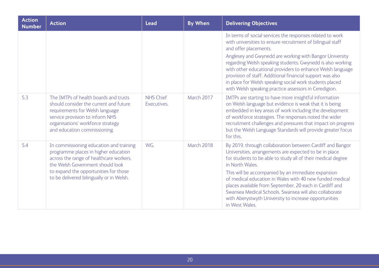| <b>Action</b><br><b>Number</b> | <b>Action</b>                                                                                                                                                                                                                                       | <b>Lead</b>                     | <b>By When</b> | <b>Delivering Objectives</b>                                                                                                                                                                                                                                                                                                                                                                                                                                                                                             |
|--------------------------------|-----------------------------------------------------------------------------------------------------------------------------------------------------------------------------------------------------------------------------------------------------|---------------------------------|----------------|--------------------------------------------------------------------------------------------------------------------------------------------------------------------------------------------------------------------------------------------------------------------------------------------------------------------------------------------------------------------------------------------------------------------------------------------------------------------------------------------------------------------------|
|                                |                                                                                                                                                                                                                                                     |                                 |                | In terms of social services the responses related to work<br>with universities to ensure recruitment of bilingual staff<br>and offer placements.<br>Anglesey and Gwynedd are working with Bangor University<br>regarding Welsh speaking students. Gwynedd is also working<br>with other educational providers to enhance Welsh language<br>provision of staff. Additional financial support was also<br>in place for Welsh speaking social work students placed<br>with Welsh speaking practice assessors in Ceredigion. |
| 5.3                            | The IMTPs of health boards and trusts<br>should consider the current and future<br>requirements for Welsh language<br>service provision to inform NHS<br>organisations' workforce strategy<br>and education commissioning.                          | <b>NHS Chief</b><br>Executives. | March 2017     | IMTPs are starting to have more insightful information<br>on Welsh language but evidence is weak that it is being<br>embedded in key areas of work including the development<br>of workforce strategies. The responses noted the wider<br>recruitment challenges and pressures that impact on progress<br>but the Welsh Language Standards will provide greater focus<br>for this.                                                                                                                                       |
| 5.4                            | In commissioning education and training<br>programme places in higher education<br>across the range of healthcare workers,<br>the Welsh Government should look<br>to expand the opportunities for those<br>to be delivered bilingually or in Welsh. | WG.                             | March 2018     | By 2019, through collaboration between Cardiff and Bangor<br>Universities, arrangements are expected to be in place<br>for students to be able to study all of their medical degree<br>in North Wales.<br>This will be accompanied by an immediate expansion<br>of medical education in Wales with 40 new funded medical<br>places available from September, 20 each in Cardiff and<br>Swansea Medical Schools, Swansea will also collaborate<br>with Aberystwyth University to increase opportunities<br>in West Wales. |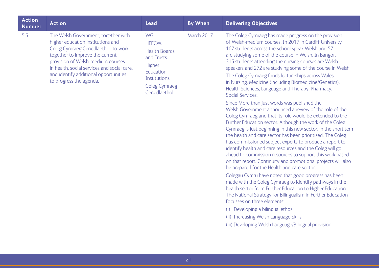| <b>Action</b><br><b>Number</b> | <b>Action</b>                                                                                                                                                                                                                                                                                              | <b>Lead</b>                                                                                                                           | <b>By When</b> | <b>Delivering Objectives</b>                                                                                                                                                                                                                                                                                                                                                                                                                                                                                                                                                                                                                                                                                                                                                                                                                                                                                                                                                                                                                                                                                                                                                                                                                                                                                                                                                                                                                                                                                                                                              |
|--------------------------------|------------------------------------------------------------------------------------------------------------------------------------------------------------------------------------------------------------------------------------------------------------------------------------------------------------|---------------------------------------------------------------------------------------------------------------------------------------|----------------|---------------------------------------------------------------------------------------------------------------------------------------------------------------------------------------------------------------------------------------------------------------------------------------------------------------------------------------------------------------------------------------------------------------------------------------------------------------------------------------------------------------------------------------------------------------------------------------------------------------------------------------------------------------------------------------------------------------------------------------------------------------------------------------------------------------------------------------------------------------------------------------------------------------------------------------------------------------------------------------------------------------------------------------------------------------------------------------------------------------------------------------------------------------------------------------------------------------------------------------------------------------------------------------------------------------------------------------------------------------------------------------------------------------------------------------------------------------------------------------------------------------------------------------------------------------------------|
| 5.5                            | The Welsh Government, together with<br>higher education institutions and<br>Coleg Cymraeg Cenedlaethol, to work<br>together to improve the current<br>provision of Welsh-medium courses<br>in health, social services and social care,<br>and identify additional opportunities<br>to progress the agenda. | WG.<br>HEFCW.<br><b>Health Boards</b><br>and Trusts.<br>Higher<br>Education<br>Institutions.<br><b>Coleg Cymraeg</b><br>Cenedlaethol. | March 2017     | The Coleg Cymraeg has made progress on the provision<br>of Welsh-medium courses. In 2017 in Cardiff University<br>167 students across the school speak Welsh and 57<br>are studying some of the course in Welsh. In Bangor,<br>315 students attending the nursing courses are Welsh<br>speakers and 272 are studying some of the course in Welsh.<br>The Coleg Cymraeg funds lectureships across Wales<br>in Nursing, Medicine (including Biomedicine/Genetics),<br>Health Sciences, Language and Therapy, Pharmacy,<br>Social Services.<br>Since More than just words was published the<br>Welsh Government announced a review of the role of the<br>Coleg Cymraeg and that its role would be extended to the<br>Further Education sector. Although the work of the Coleg<br>Cymraeg is just beginning in this new sector, in the short term<br>the health and care sector has been prioritised. The Coleg<br>has commissioned subject experts to produce a report to<br>identify health and care resources and the Coleg will go<br>ahead to commission resources to support this work based<br>on that report. Continuity and promotional projects will also<br>be prepared for the Health and care sector.<br>Colegau Cymru have noted that good progress has been<br>made with the Coleg Cymraeg to identify pathways in the<br>health sector from Further Education to Higher Education.<br>The National Strategy for Bilingualism in Further Education<br>focusses on three elements:<br>(i) Developing a bilingual ethos<br>(ii) Increasing Welsh Language Skills |
|                                |                                                                                                                                                                                                                                                                                                            |                                                                                                                                       |                | (iii) Developing Welsh Language/Bilingual provision.                                                                                                                                                                                                                                                                                                                                                                                                                                                                                                                                                                                                                                                                                                                                                                                                                                                                                                                                                                                                                                                                                                                                                                                                                                                                                                                                                                                                                                                                                                                      |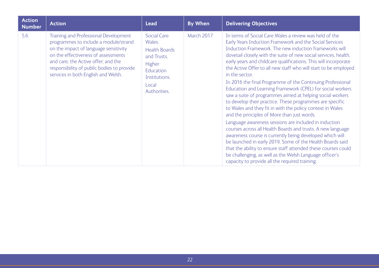| <b>Action</b><br><b>Number</b> | <b>Action</b>                                                                                                                                                                                                                                                                              | <b>Lead</b>                                                                                                                          | <b>By When</b> | <b>Delivering Objectives</b>                                                                                                                                                                                                                                                                                                                                                                                                                                                                                                                                                                                                                                                                                                                                                                                                                                                                                                                                                                                                                                                                                                                                                                           |
|--------------------------------|--------------------------------------------------------------------------------------------------------------------------------------------------------------------------------------------------------------------------------------------------------------------------------------------|--------------------------------------------------------------------------------------------------------------------------------------|----------------|--------------------------------------------------------------------------------------------------------------------------------------------------------------------------------------------------------------------------------------------------------------------------------------------------------------------------------------------------------------------------------------------------------------------------------------------------------------------------------------------------------------------------------------------------------------------------------------------------------------------------------------------------------------------------------------------------------------------------------------------------------------------------------------------------------------------------------------------------------------------------------------------------------------------------------------------------------------------------------------------------------------------------------------------------------------------------------------------------------------------------------------------------------------------------------------------------------|
| 5.6                            | Training and Professional Development<br>programmes to include a module/strand<br>on the impact of language sensitivity<br>on the effectiveness of assessments<br>and care, the Active offer; and the<br>responsibility of public bodies to provide<br>services in both English and Welsh. | <b>Social Care</b><br>Wales.<br><b>Health Boards</b><br>and Trusts.<br>Higher<br>Education<br>Institutions.<br>Local<br>Authorities. | March 2017     | In terms of Social Care Wales a review was held of the<br>Early Years Induction Framework and the Social Services<br>Induction Framework. The new induction frameworks will<br>dovetail closely with the suite of new social services, health,<br>early years and childcare qualifications. This will incorporate<br>the Active Offer to all new staff who will start to be employed<br>in the sector.<br>In 2016 the final Programme of the Continuing Professional<br>Education and Learning Framework (CPEL) for social workers<br>saw a suite of programmes aimed at helping social workers<br>to develop their practice. These programmes are specific<br>to Wales and they fit in with the policy context in Wales<br>and the principles of More than just words.<br>Language awareness sessions are included in induction<br>courses across all Health Boards and trusts. A new language<br>awareness course is currently being developed which will<br>be launched in early 2019. Some of the Health Boards said<br>that the ability to ensure staff attended these courses could<br>be challenging, as well as the Welsh Language officer's<br>capacity to provide all the required training. |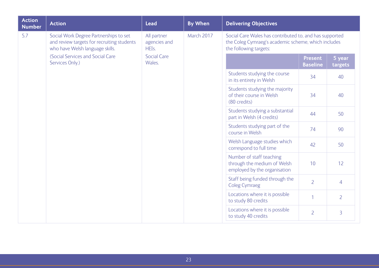| <b>Action</b><br><b>Number</b> | <b>Action</b>                                                                                                           | <b>Lead</b>                          | <b>By When</b>                                                                          | <b>Delivering Objectives</b>                                                                                                             |                   |                |  |
|--------------------------------|-------------------------------------------------------------------------------------------------------------------------|--------------------------------------|-----------------------------------------------------------------------------------------|------------------------------------------------------------------------------------------------------------------------------------------|-------------------|----------------|--|
| 5.7                            | Social Work Degree Partnerships to set<br>and review targets for recruiting students<br>who have Welsh language skills. | All partner<br>agencies and<br>HEIs. | March 2017                                                                              | Social Care Wales has contributed to, and has supported<br>the Coleg Cymraeg's academic scheme, which includes<br>the following targets: |                   |                |  |
|                                | (Social Services and Social Care<br><b>Social Care</b><br>Wales.<br>Services Only.)                                     |                                      |                                                                                         | Present<br><b>Baseline</b>                                                                                                               | 5 year<br>targets |                |  |
|                                |                                                                                                                         |                                      | Students studying the course<br>in its entirety in Welsh                                | 34                                                                                                                                       | 40                |                |  |
|                                |                                                                                                                         |                                      |                                                                                         | Students studying the majority<br>of their course in Welsh<br>(80 credits)                                                               | 34                | 40             |  |
|                                |                                                                                                                         |                                      |                                                                                         | Students studying a substantial<br>part in Welsh (4 credits)                                                                             | 44                | 50             |  |
|                                |                                                                                                                         |                                      |                                                                                         | Students studying part of the<br>course in Welsh                                                                                         | 74                | 90             |  |
|                                |                                                                                                                         |                                      |                                                                                         | Welsh Language studies which<br>correspond to full time                                                                                  | 42                | 50             |  |
|                                |                                                                                                                         |                                      | Number of staff teaching<br>through the medium of Welsh<br>employed by the organisation | 10                                                                                                                                       | 12                |                |  |
|                                |                                                                                                                         |                                      | Staff being funded through the<br><b>Coleg Cymraeg</b>                                  | $\overline{2}$                                                                                                                           | $\overline{4}$    |                |  |
|                                |                                                                                                                         |                                      |                                                                                         | Locations where it is possible<br>to study 80 credits                                                                                    | $\mathbf{1}$      | $\overline{2}$ |  |
|                                |                                                                                                                         |                                      | Locations where it is possible<br>to study 40 credits                                   | $\overline{2}$                                                                                                                           | 3                 |                |  |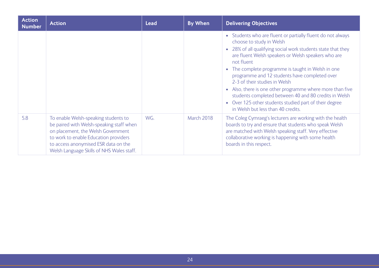| <b>Action</b><br><b>Number</b> | <b>Action</b>                                                                                                                                                                                                                                        | <b>Lead</b> | <b>By When</b> | <b>Delivering Objectives</b>                                                                                                                                                                                                                                                                                                                                                                                                                                                                                                                                                               |
|--------------------------------|------------------------------------------------------------------------------------------------------------------------------------------------------------------------------------------------------------------------------------------------------|-------------|----------------|--------------------------------------------------------------------------------------------------------------------------------------------------------------------------------------------------------------------------------------------------------------------------------------------------------------------------------------------------------------------------------------------------------------------------------------------------------------------------------------------------------------------------------------------------------------------------------------------|
|                                |                                                                                                                                                                                                                                                      |             |                | • Students who are fluent or partially fluent do not always<br>choose to study in Welsh<br>• 28% of all qualifying social work students state that they<br>are fluent Welsh speakers or Welsh speakers who are<br>not fluent<br>• The complete programme is taught in Welsh in one<br>programme and 12 students have completed over<br>2-3 of their studies in Welsh<br>• Also, there is one other programme where more than five<br>students completed between 40 and 80 credits in Welsh<br>• Over 125 other students studied part of their degree<br>in Welsh but less than 40 credits. |
| 5.8                            | To enable Welsh-speaking students to<br>be paired with Welsh-speaking staff when<br>on placement, the Welsh Government<br>to work to enable Education providers<br>to access anonymised ESR data on the<br>Welsh Language Skills of NHS Wales staff. | WG.         | March 2018     | The Coleg Cymraeg's lecturers are working with the health<br>boards to try and ensure that students who speak Welsh<br>are matched with Welsh speaking staff. Very effective<br>collaborative working is happening with some health<br>boards in this respect.                                                                                                                                                                                                                                                                                                                             |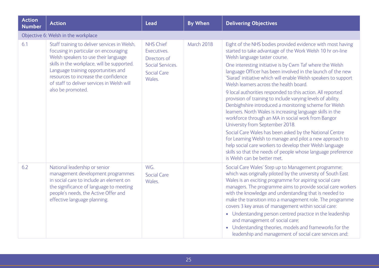| <b>Action</b><br><b>Number</b> | <b>Action</b>                                                                                                                                                                                                                                                                                                                  | <b>Lead</b>                                                                                         | <b>By When</b>    | <b>Delivering Objectives</b>                                                                                                                                                                                                                                                                                                                                                                                                                                                                                                                                                                                                                                                                                                                                                                                                                                                                                                                                                                                                     |  |  |  |  |
|--------------------------------|--------------------------------------------------------------------------------------------------------------------------------------------------------------------------------------------------------------------------------------------------------------------------------------------------------------------------------|-----------------------------------------------------------------------------------------------------|-------------------|----------------------------------------------------------------------------------------------------------------------------------------------------------------------------------------------------------------------------------------------------------------------------------------------------------------------------------------------------------------------------------------------------------------------------------------------------------------------------------------------------------------------------------------------------------------------------------------------------------------------------------------------------------------------------------------------------------------------------------------------------------------------------------------------------------------------------------------------------------------------------------------------------------------------------------------------------------------------------------------------------------------------------------|--|--|--|--|
|                                | Objective 6: Welsh in the workplace                                                                                                                                                                                                                                                                                            |                                                                                                     |                   |                                                                                                                                                                                                                                                                                                                                                                                                                                                                                                                                                                                                                                                                                                                                                                                                                                                                                                                                                                                                                                  |  |  |  |  |
| 6.1                            | Staff training to deliver services in Welsh,<br>focusing in particular on encouraging<br>Welsh speakers to use their language<br>skills in the workplace, will be supported.<br>Language training opportunities and<br>resources to increase the confidence<br>of staff to deliver services in Welsh will<br>also be promoted. | <b>NHS Chief</b><br>Executives.<br>Directors of<br>Social Services.<br><b>Social Care</b><br>Wales. | <b>March 2018</b> | Eight of the NHS bodies provided evidence with most having<br>started to take advantage of the Work Welsh 10 hr on-line<br>Welsh language taster course.<br>One interesting initiative is by Cwm Taf where the Welsh<br>language Officer has been involved in the launch of the new<br>'Siarad' initiative which will enable Welsh speakers to support<br>Welsh learners across the health board.<br>9 local authorities responded to this action. All reported<br>provision of training to include varying levels of ability.<br>Denbighshire introduced a monitoring scheme for Welsh<br>learners. North Wales is increasing language skills in the<br>workforce through an MA in social work from Bangor<br>University from September 2018.<br>Social Care Wales has been asked by the National Centre<br>for Learning Welsh to manage and pilot a new approach to<br>help social care workers to develop their Welsh language<br>skills so that the needs of people whose language preference<br>is Welsh can be better met. |  |  |  |  |
| 6.2                            | National leadership or senior<br>management development programmes<br>in social care to include an element on<br>the significance of language to meeting<br>people's needs, the Active Offer and<br>effective language planning.                                                                                               | WG.<br><b>Social Care</b><br>Wales.                                                                 |                   | Social Care Wales' Step up to Management programme;<br>which was originally piloted by the university of South East<br>Wales is an exciting programme for aspiring social care<br>managers. The programme aims to provide social care workers<br>with the knowledge and understanding that is needed to<br>make the transition into a management role. The programme<br>covers 3 key areas of management within social care:<br>• Understanding person centred practice in the leadership<br>and management of social care;<br>• Understanding theories, models and frameworks for the<br>leadership and management of social care services and;                                                                                                                                                                                                                                                                                                                                                                                 |  |  |  |  |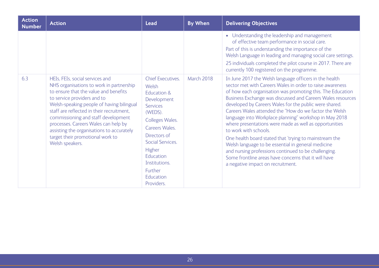| <b>Action</b><br><b>Number</b> | <b>Action</b>                                                                                                                                                                                                                                                                                                                                                                                                                    | <b>Lead</b>                                                                                                                                                                                                                                                 | <b>By When</b> | <b>Delivering Objectives</b>                                                                                                                                                                                                                                                                                                                                                                                                                                                                                                                                                                                                                                                                                                                                                           |
|--------------------------------|----------------------------------------------------------------------------------------------------------------------------------------------------------------------------------------------------------------------------------------------------------------------------------------------------------------------------------------------------------------------------------------------------------------------------------|-------------------------------------------------------------------------------------------------------------------------------------------------------------------------------------------------------------------------------------------------------------|----------------|----------------------------------------------------------------------------------------------------------------------------------------------------------------------------------------------------------------------------------------------------------------------------------------------------------------------------------------------------------------------------------------------------------------------------------------------------------------------------------------------------------------------------------------------------------------------------------------------------------------------------------------------------------------------------------------------------------------------------------------------------------------------------------------|
|                                |                                                                                                                                                                                                                                                                                                                                                                                                                                  |                                                                                                                                                                                                                                                             |                | • Understanding the leadership and management<br>of effective team performance in social care.<br>Part of this is understanding the importance of the<br>Welsh Language in leading and managing social care settings.<br>25 individuals completed the pilot course in 2017. There are<br>currently 100 registered on the programme.                                                                                                                                                                                                                                                                                                                                                                                                                                                    |
| 6.3                            | HEIs, FEIs, social services and<br>NHS organisations to work in partnership<br>to ensure that the value and benefits<br>to service providers and to<br>Welsh-speaking people of having bilingual<br>staff are reflected in their recruitment.<br>commissioning and staff development<br>processes. Careers Wales can help by<br>assisting the organisations to accurately<br>target their promotional work to<br>Welsh speakers. | <b>Chief Executives.</b><br>Welsh<br>Education &<br>Development<br><b>Services</b><br>(WEDS).<br>Colleges Wales.<br>Careers Wales.<br>Directors of<br>Social Services.<br><b>Higher</b><br>Education<br>Institutions.<br>Further<br>Education<br>Providers. | March 2018     | In June 2017 the Welsh language officers in the health<br>sector met with Careers Wales in order to raise awareness<br>of how each organisation was promoting this. The Education<br>Business Exchange was discussed and Careers Wales resources<br>developed by Careers Wales for the public were shared.<br>Careers Wales attended the "How do we factor the Welsh<br>language into Workplace planning" workshop in May 2018<br>where presentations were made as well as opportunities<br>to work with schools.<br>One health board stated that 'trying to mainstream the<br>Welsh language to be essential in general medicine<br>and nursing professions continued to be challenging.<br>Some frontline areas have concerns that it will have<br>a negative impact on recruitment. |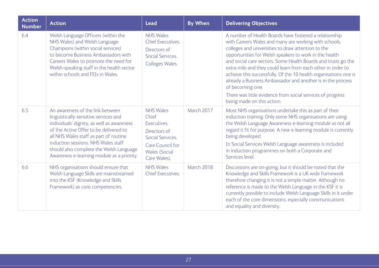| <b>Action</b><br><b>Number</b> | <b>Action</b>                                                                                                                                                                                                                                                                                                                               | <b>Lead</b>                                                                                                                                            | <b>By When</b> | <b>Delivering Objectives</b>                                                                                                                                                                                                                                                                                                                                                                                                                                                                                                                                                                                       |
|--------------------------------|---------------------------------------------------------------------------------------------------------------------------------------------------------------------------------------------------------------------------------------------------------------------------------------------------------------------------------------------|--------------------------------------------------------------------------------------------------------------------------------------------------------|----------------|--------------------------------------------------------------------------------------------------------------------------------------------------------------------------------------------------------------------------------------------------------------------------------------------------------------------------------------------------------------------------------------------------------------------------------------------------------------------------------------------------------------------------------------------------------------------------------------------------------------------|
| 6.4                            | Welsh Language Officers (within the<br>NHS Wales) and Welsh Language<br>Champions (within social services)<br>to become Business Ambassadors with<br>Careers Wales to promote the need for<br>Welsh-speaking staff in the health sector<br>within schools and FEIs in Wales.                                                                | <b>NHS Wales</b><br><b>Chief Executives.</b><br>Directors of<br><b>Social Services.</b><br>Colleges Wales.                                             |                | A number of Health Boards have fostered a relationship<br>with Careers Wales and many are working with schools,<br>colleges and universities to draw attention to the<br>opportunities for Welsh speakers to work in the health<br>and social care sectors. Some Health Boards and trusts go the<br>extra mile and they could learn from each other in order to<br>achieve this successfully. Of the 10 health organisations one is<br>already a Business Ambassador and another is in the process<br>of becoming one.<br>There was little evidence from social services of progress<br>being made on this action. |
| 6.5                            | An awareness of the link between<br>linguistically-sensitive services and<br>individuals' dignity, as well as awareness<br>of the Active Offer to be delivered to<br>all NHS Wales staff as part of routine<br>induction sessions. NHS Wales staff<br>should also complete the Welsh Language<br>Awareness e-learning module as a priority. | <b>NHS Wales</b><br>Chief<br>Executives.<br>Directors of<br><b>Social Services.</b><br><b>Care Council for</b><br><b>Wales (Social</b><br>Care Wales). | March 2017     | Most NHS organisations undertake this as part of their<br>induction training. Only some NHS organisations are using<br>the Welsh Language Awareness e-learning module as not all<br>regard it fit for purpose. A new e-learning module is currently<br>being developed.<br>In Social Services Welsh Language awareness is included<br>in induction programmes on both a Corporate and<br>Services level.                                                                                                                                                                                                           |
| 6.6                            | NHS organisations should ensure that<br>Welsh Language Skills are mainstreamed<br>into the KSF (Knowledge and Skills<br>Framework) as core competencies.                                                                                                                                                                                    | <b>NHS Wales</b><br><b>Chief Executives.</b>                                                                                                           | March 2018     | Discussions are on-going, but it should be noted that the<br>Knowledge and Skills Framework is a UK wide framework<br>therefore changing it is not a simple matter. Although no<br>reference is made to the Welsh Language in the KSF it is<br>currently possible to include Welsh Language Skills in it under<br>each of the core dimensions, especially communications<br>and equality and diversity.                                                                                                                                                                                                            |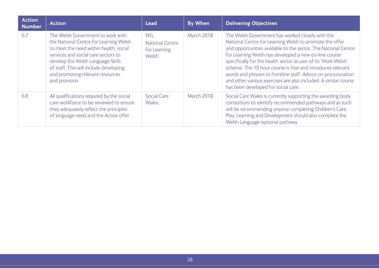| <b>Action</b><br><b>Number</b> | <b>Action</b>                                                                                                                                                                                                                                                                                     | <b>Lead</b>                                             | <b>By When</b>    | <b>Delivering Objectives</b>                                                                                                                                                                                                                                                                                                                                                                                                                                                                                                                      |
|--------------------------------|---------------------------------------------------------------------------------------------------------------------------------------------------------------------------------------------------------------------------------------------------------------------------------------------------|---------------------------------------------------------|-------------------|---------------------------------------------------------------------------------------------------------------------------------------------------------------------------------------------------------------------------------------------------------------------------------------------------------------------------------------------------------------------------------------------------------------------------------------------------------------------------------------------------------------------------------------------------|
| 6.7                            | The Welsh Government to work with<br>the National Centre for Learning Welsh<br>to meet the need within health, social<br>services and social care sectors to<br>develop the Welsh Language Skills<br>of staff. This will include developing<br>and promoting relevant resources<br>and provision. | WG.<br><b>National Centre</b><br>for Learning<br>Welsh. | <b>March 2018</b> | The Welsh Government has worked closely with the<br>National Centre for Learning Welsh to promote the offer<br>and opportunities available to the sector. The National Centre<br>for Learning Welsh has developed a new on-line course<br>specifically for the health sector as part of its 'Work Welsh'<br>scheme. The 10 hour course is free and introduces relevant<br>words and phrases to frontline staff. Advice on pronunciation<br>and other various exercises are also included. A similar course<br>has been developed for social care. |
| 6.8                            | All qualifications required by the social<br>care workforce to be reviewed to ensure<br>they adequately reflect the principles<br>of language need and the Active offer.                                                                                                                          | <b>Social Care</b><br>Wales.                            | March 2018        | Social Care Wales is currently supporting the awarding body<br>consortium to identify recommended pathways and as such<br>will be recommending anyone completing Children's Care,<br>Play, Learning and Development should also complete the<br>Welsh Language optional pathway.                                                                                                                                                                                                                                                                  |